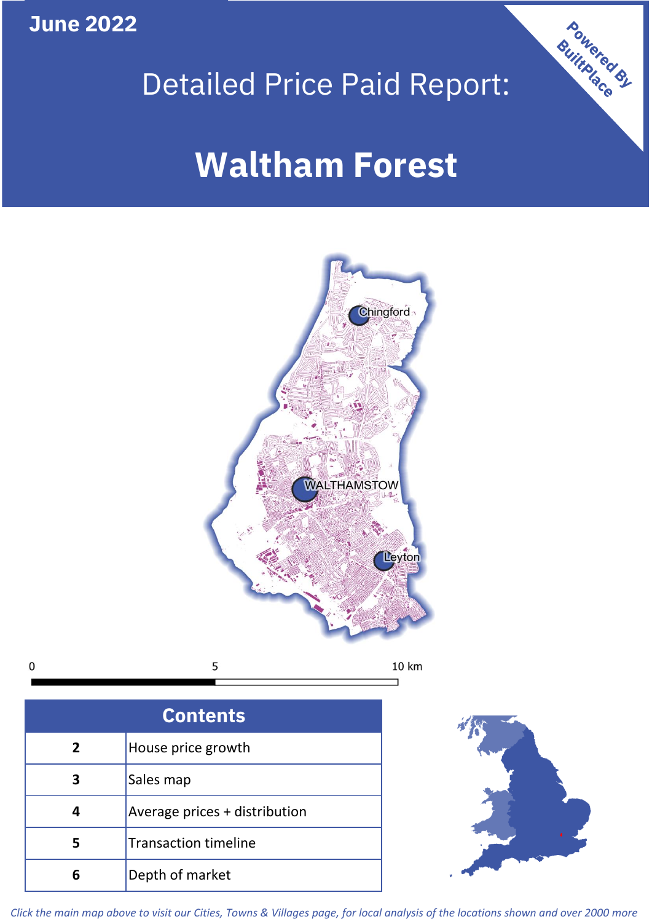**June 2022**

 $\mathbf 0$ 





**Contents 5 4 3 2** House price growth Sales map Average prices + distribution Transaction timeline **6** Depth of market



*Click the main map above to visit our Cities, Towns & Villages page, for local analysis of the locations shown and over 2000 more*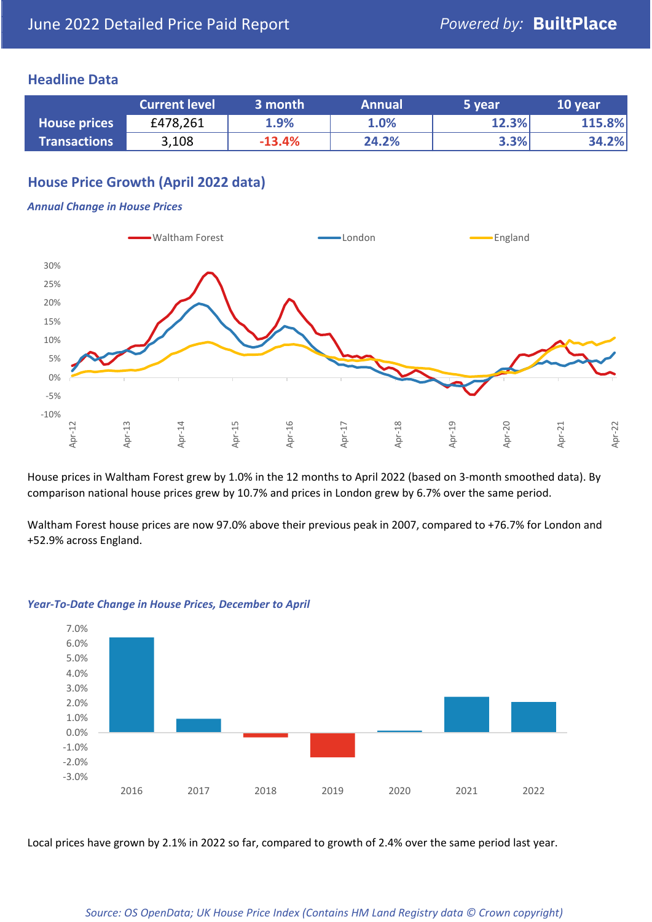### **Headline Data**

|                     | <b>Current level</b> | 3 month  | <b>Annual</b> | '5 vear. | 10 year |
|---------------------|----------------------|----------|---------------|----------|---------|
| <b>House prices</b> | £478,261             | 1.9%     | 1.0%          | 12.3%    | 115.8%  |
| <b>Transactions</b> | 3,108                | $-13.4%$ | 24.2%         | 3.3%     | 34.2%   |

# **House Price Growth (April 2022 data)**

#### *Annual Change in House Prices*



House prices in Waltham Forest grew by 1.0% in the 12 months to April 2022 (based on 3-month smoothed data). By comparison national house prices grew by 10.7% and prices in London grew by 6.7% over the same period.

Waltham Forest house prices are now 97.0% above their previous peak in 2007, compared to +76.7% for London and +52.9% across England.



#### *Year-To-Date Change in House Prices, December to April*

Local prices have grown by 2.1% in 2022 so far, compared to growth of 2.4% over the same period last year.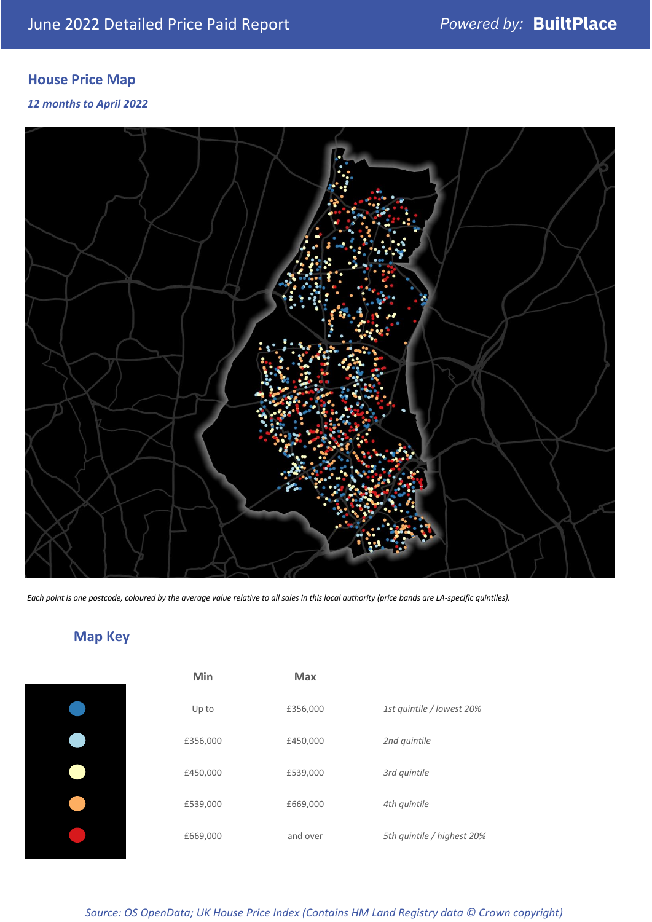# **House Price Map**

### *12 months to April 2022*



*Each point is one postcode, coloured by the average value relative to all sales in this local authority (price bands are LA-specific quintiles).*

# **Map Key**

| Min      | <b>Max</b> |                            |
|----------|------------|----------------------------|
| Up to    | £356,000   | 1st quintile / lowest 20%  |
| £356,000 | £450,000   | 2nd quintile               |
| £450,000 | £539,000   | 3rd quintile               |
| £539,000 | £669,000   | 4th quintile               |
| £669,000 | and over   | 5th quintile / highest 20% |

*Source: OS OpenData; UK House Price Index (Contains HM Land Registry data © Crown copyright)*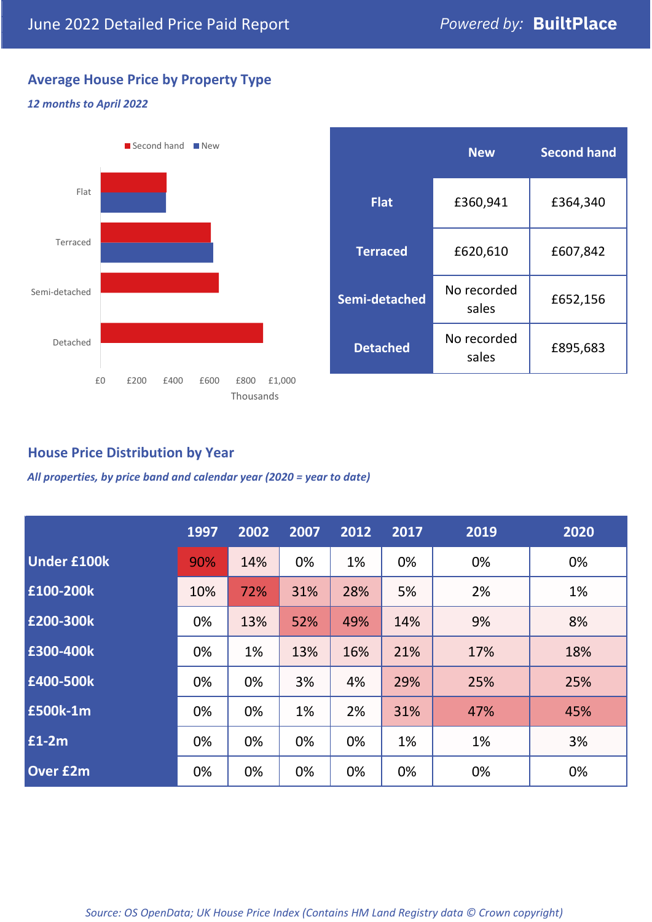# **Average House Price by Property Type**

### *12 months to April 2022*



|                 | <b>New</b>           | <b>Second hand</b> |  |
|-----------------|----------------------|--------------------|--|
| <b>Flat</b>     | £360,941             | £364,340           |  |
| <b>Terraced</b> | £620,610             | £607,842           |  |
| Semi-detached   | No recorded<br>sales | £652,156           |  |
| <b>Detached</b> | No recorded<br>sales | £895,683           |  |

### **House Price Distribution by Year**

*All properties, by price band and calendar year (2020 = year to date)*

|                    | 1997 | 2002 | 2007 | 2012 | 2017 | 2019 | 2020 |
|--------------------|------|------|------|------|------|------|------|
| <b>Under £100k</b> | 90%  | 14%  | 0%   | 1%   | 0%   | 0%   | 0%   |
| £100-200k          | 10%  | 72%  | 31%  | 28%  | 5%   | 2%   | 1%   |
| E200-300k          | 0%   | 13%  | 52%  | 49%  | 14%  | 9%   | 8%   |
| £300-400k          | 0%   | 1%   | 13%  | 16%  | 21%  | 17%  | 18%  |
| £400-500k          | 0%   | 0%   | 3%   | 4%   | 29%  | 25%  | 25%  |
| <b>£500k-1m</b>    | 0%   | 0%   | 1%   | 2%   | 31%  | 47%  | 45%  |
| £1-2m              | 0%   | 0%   | 0%   | 0%   | 1%   | 1%   | 3%   |
| <b>Over £2m</b>    | 0%   | 0%   | 0%   | 0%   | 0%   | 0%   | 0%   |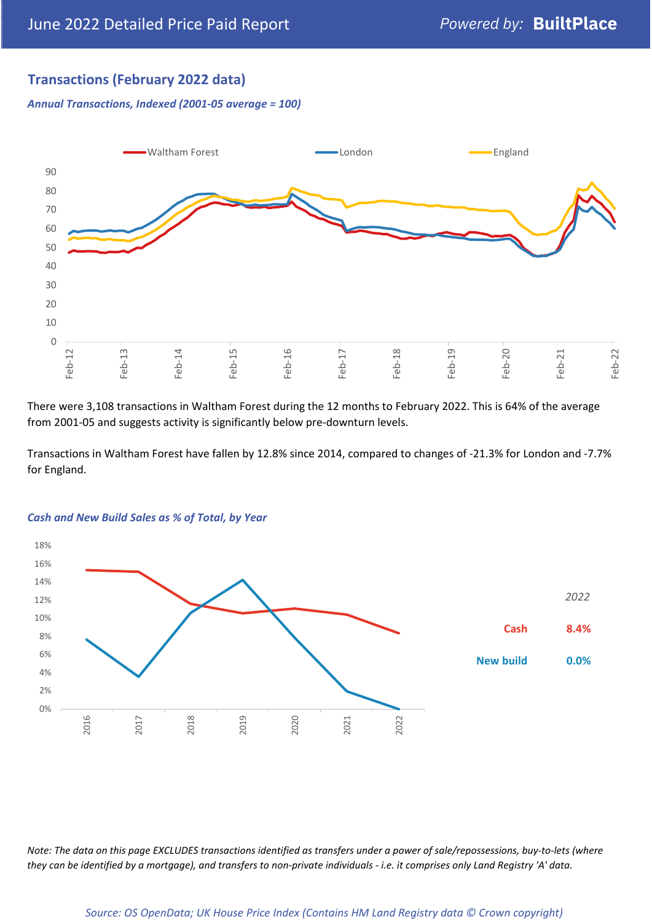## **Transactions (February 2022 data)**

*Annual Transactions, Indexed (2001-05 average = 100)*



There were 3,108 transactions in Waltham Forest during the 12 months to February 2022. This is 64% of the average from 2001-05 and suggests activity is significantly below pre-downturn levels.

Transactions in Waltham Forest have fallen by 12.8% since 2014, compared to changes of -21.3% for London and -7.7% for England.



#### *Cash and New Build Sales as % of Total, by Year*

*Note: The data on this page EXCLUDES transactions identified as transfers under a power of sale/repossessions, buy-to-lets (where they can be identified by a mortgage), and transfers to non-private individuals - i.e. it comprises only Land Registry 'A' data.*